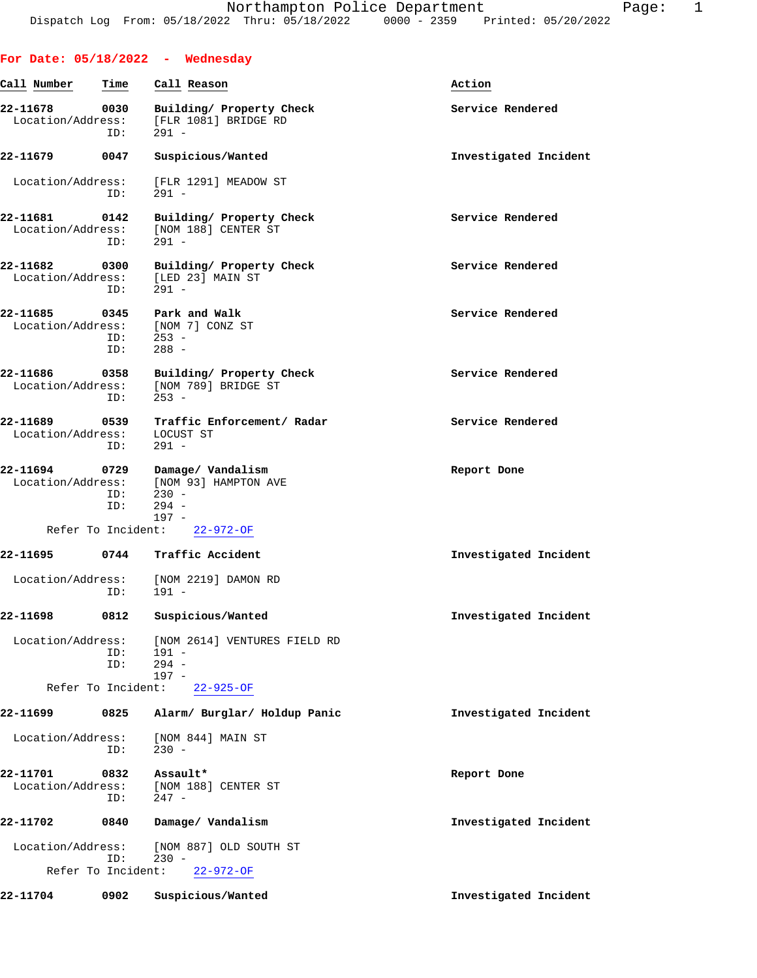|                                    |             | For Date: $05/18/2022 -$ Wednesday                                           |                       |
|------------------------------------|-------------|------------------------------------------------------------------------------|-----------------------|
| Call Number                        | Time        | Call Reason                                                                  | Action                |
| 22-11678<br>Location/Address:      | 0030<br>ID: | Building/ Property Check<br>[FLR 1081] BRIDGE RD<br>$291 -$                  | Service Rendered      |
| 22-11679                           | 0047        | Suspicious/Wanted                                                            | Investigated Incident |
| Location/Address:                  | ID:         | [FLR 1291] MEADOW ST<br>$291 -$                                              |                       |
| 22-11681<br>Location/Address:      | 0142<br>ID: | Building/ Property Check<br>[NOM 188] CENTER ST<br>$291 -$                   | Service Rendered      |
| 22-11682<br>Location/Address:      | 0300<br>ID: | Building/ Property Check<br>[LED 23] MAIN ST<br>$291 -$                      | Service Rendered      |
| 22-11685 0345<br>Location/Address: | ID:<br>ID:  | Park and Walk<br>[NOM 7] CONZ ST<br>$253 -$<br>$288 -$                       | Service Rendered      |
| 22-11686<br>Location/Address:      | 0358<br>ID: | Building/ Property Check<br>[NOM 789] BRIDGE ST<br>$253 -$                   | Service Rendered      |
| 22-11689 0539<br>Location/Address: | ID:         | Traffic Enforcement/ Radar<br>LOCUST ST<br>$291 -$                           | Service Rendered      |
| Location/Address:                  | ID:<br>ID:  | 22-11694 0729 Damage/Vandalism<br>[NOM 93] HAMPTON AVE<br>$230 -$<br>$294 -$ | Report Done           |
|                                    |             | $197 -$<br>Refer To Incident: 22-972-OF                                      |                       |
| 22-11695                           |             | 0744 Traffic Accident                                                        | Investigated Incident |
| Location/Address:                  | ID:         | [NOM 2219] DAMON RD<br>$191 -$                                               |                       |
| 22-11698                           | 0812        | Suspicious/Wanted                                                            | Investigated Incident |
| Location/Address:                  | ID:<br>ID:  | [NOM 2614] VENTURES FIELD RD<br>$191 -$<br>$294 -$<br>$197 -$                |                       |
| Refer To Incident:                 |             | $22 - 925 - OF$                                                              |                       |
| 22-11699                           | 0825        | Alarm/ Burglar/ Holdup Panic                                                 | Investigated Incident |
| Location/Address:                  | ID:         | [NOM 844] MAIN ST<br>$230 -$                                                 |                       |
| 22-11701<br>Location/Address:      | 0832<br>ID: | Assault*<br>[NOM 188] CENTER ST<br>$247 -$                                   | Report Done           |
| 22-11702                           | 0840        | Damage/ Vandalism                                                            | Investigated Incident |
| Location/Address:                  | ID:         | [NOM 887] OLD SOUTH ST<br>$230 -$                                            |                       |
| Refer To Incident:                 |             | $22 - 972 - OF$                                                              |                       |
| 22-11704                           | 0902        | Suspicious/Wanted                                                            | Investigated Incident |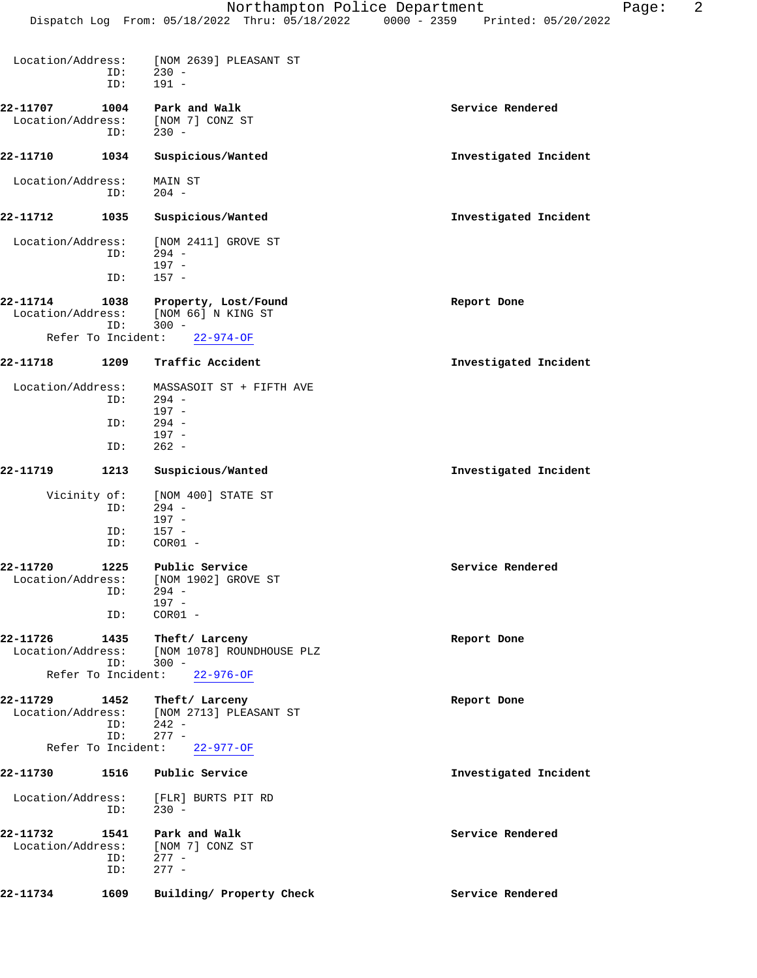| Location/Address:              | ID:<br>ID:         | [NOM 2639] PLEASANT ST<br>$230 -$<br>$191 -$                                                                                  |                       |
|--------------------------------|--------------------|-------------------------------------------------------------------------------------------------------------------------------|-----------------------|
| 22-11707<br>Location/Address:  | 1004<br>ID:        | Park and Walk<br>[NOM 7] CONZ ST<br>$230 -$                                                                                   | Service Rendered      |
| 22-11710                       | 1034               | Suspicious/Wanted                                                                                                             | Investigated Incident |
| Location/Address:              | ID:                | MAIN ST<br>$204 -$                                                                                                            |                       |
| 22-11712                       | 1035               | Suspicious/Wanted                                                                                                             | Investigated Incident |
| Location/Address:              | ID:<br>ID:         | [NOM 2411] GROVE ST<br>$294 -$<br>$197 -$<br>$157 -$                                                                          |                       |
| 22-11714<br>Location/Address:  | 1038<br>ID:        | Property, Lost/Found<br>[NOM 66] N KING ST<br>$300 -$                                                                         | Report Done           |
| Refer To Incident:             |                    | $22 - 974 - OF$                                                                                                               |                       |
| 22-11718                       | 1209               | Traffic Accident                                                                                                              | Investigated Incident |
| Location/Address:              | ID:                | MASSASOIT ST + FIFTH AVE<br>$294 -$<br>$197 -$                                                                                |                       |
|                                | ID:                | $294 -$<br>$197 -$                                                                                                            |                       |
|                                | ID:                | $262 -$                                                                                                                       |                       |
| 22-11719                       | 1213               | Suspicious/Wanted                                                                                                             | Investigated Incident |
| Vicinity of:                   | ID:<br>ID:<br>ID:  | [NOM 400] STATE ST<br>$294 -$<br>$197 -$<br>$157 -$<br>$COR01 -$                                                              |                       |
| 22-11720<br>Location/Address:  | 1225<br>ID:<br>ID: | Public Service<br>[NOM 1902] GROVE ST<br>$294 -$<br>197 -<br>$COR01 -$                                                        | Service Rendered      |
| 22-11726<br>Refer To Incident: | ID:                | 1435 Theft/Larceny<br>Location/Address: [NOM 1078] ROUNDHOUSE PLZ<br>$300 -$<br>$22 - 976 - OF$                               | Report Done           |
|                                | ID:<br>ID:         | 22-11729 1452 Theft/Larceny<br>Location/Address: [NOM 2713] PLEASANT ST<br>$242 -$<br>$277 -$<br>Refer To Incident: 22-977-OF | Report Done           |
| 22-11730                       | 1516               | Public Service                                                                                                                | Investigated Incident |
|                                | ID:                | Location/Address: [FLR] BURTS PIT RD<br>$230 -$                                                                               |                       |
| 22-11732 1541                  | ID:<br>ID:         | Park and Walk<br>Location/Address: [NOM 7] CONZ ST<br>$277 -$<br>$277 -$                                                      | Service Rendered      |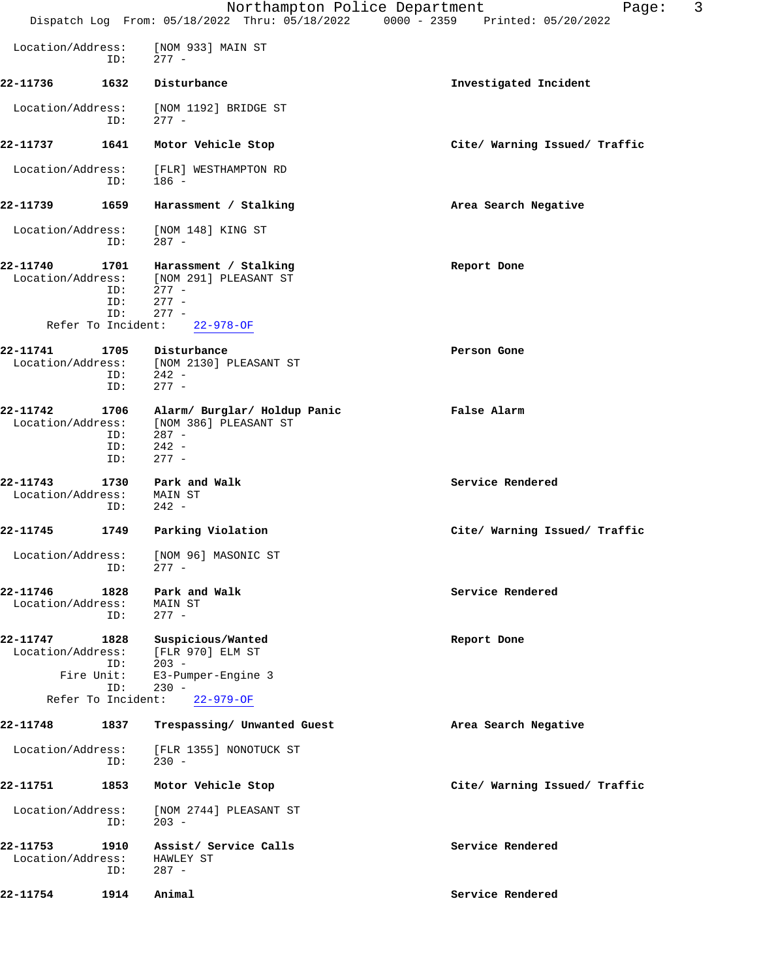|                               |                                  |                                                                                        | 3<br>Northampton Police Department<br>Page:<br>Dispatch Log From: 05/18/2022 Thru: 05/18/2022 0000 - 2359 Printed: 05/20/2022 |
|-------------------------------|----------------------------------|----------------------------------------------------------------------------------------|-------------------------------------------------------------------------------------------------------------------------------|
| Location/Address:             |                                  | [NOM 933] MAIN ST                                                                      |                                                                                                                               |
|                               | ID:                              | 277 -                                                                                  |                                                                                                                               |
| 22-11736                      | 1632                             | Disturbance                                                                            | Investigated Incident                                                                                                         |
| Location/Address:             | ID:                              | [NOM 1192] BRIDGE ST<br>$277 -$                                                        |                                                                                                                               |
| 22-11737                      | 1641                             | Motor Vehicle Stop                                                                     | Cite/ Warning Issued/ Traffic                                                                                                 |
| Location/Address:             | ID:                              | [FLR] WESTHAMPTON RD<br>$186 -$                                                        |                                                                                                                               |
| 22-11739                      | 1659                             | Harassment / Stalking                                                                  | Area Search Negative                                                                                                          |
| Location/Address:             | ID:                              | [NOM 148] KING ST<br>$287 -$                                                           |                                                                                                                               |
| 22-11740<br>Location/Address: | 1701<br>ID:<br>ID:<br>ID:        | Harassment / Stalking<br>[NOM 291] PLEASANT ST<br>$277 -$<br>$277 -$<br>$277 -$        | Report Done                                                                                                                   |
|                               | Refer To Incident:               | $22 - 978 - OF$                                                                        |                                                                                                                               |
| 22-11741                      | 1705<br>ID:<br>ID:               | Disturbance<br>Location/Address: [NOM 2130] PLEASANT ST<br>$242 -$<br>$277 -$          | Person Gone                                                                                                                   |
| 22-11742<br>Location/Address: | 1706<br>ID:<br>ID:<br>ID:        | Alarm/ Burglar/ Holdup Panic<br>[NOM 386] PLEASANT ST<br>$287 -$<br>$242 -$<br>$277 -$ | False Alarm                                                                                                                   |
| 22-11743<br>Location/Address: | 1730<br>ID:                      | Park and Walk<br>MAIN ST<br>$242 -$                                                    | Service Rendered                                                                                                              |
| 22-11745                      | 1749                             | Parking Violation                                                                      | Cite/ Warning Issued/ Traffic                                                                                                 |
|                               | ID:                              | Location/Address: [NOM 96] MASONIC ST<br>$277 -$                                       |                                                                                                                               |
| 22-11746<br>Location/Address: | 1828<br>ID:                      | Park and Walk<br>MAIN ST<br>$277 -$                                                    | Service Rendered                                                                                                              |
| 22-11747<br>Location/Address: | 1828<br>ID:<br>Fire Unit:<br>ID: | Suspicious/Wanted<br>[FLR 970] ELM ST<br>$203 -$<br>E3-Pumper-Engine 3<br>$230 -$      | Report Done                                                                                                                   |
|                               | Refer To Incident:               | $22 - 979 - OF$                                                                        |                                                                                                                               |
| 22-11748                      | 1837                             | Trespassing/ Unwanted Guest                                                            | Area Search Negative                                                                                                          |
| Location/Address:             | ID:                              | [FLR 1355] NONOTUCK ST<br>$230 -$                                                      |                                                                                                                               |
| 22-11751                      | 1853                             | Motor Vehicle Stop                                                                     | Cite/ Warning Issued/ Traffic                                                                                                 |
| Location/Address:             | ID:                              | [NOM 2744] PLEASANT ST<br>$203 -$                                                      |                                                                                                                               |
| 22-11753<br>Location/Address: | 1910<br>ID:                      | Assist/ Service Calls<br>HAWLEY ST<br>$287 -$                                          | Service Rendered                                                                                                              |
| 22-11754                      | 1914                             | Animal                                                                                 | Service Rendered                                                                                                              |